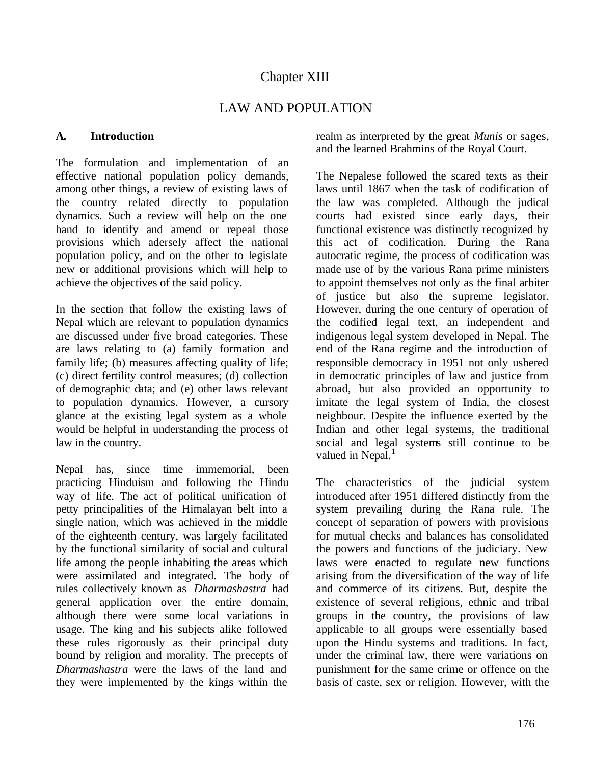# LAW AND POPULATION

## **A. Introduction**

The formulation and implementation of an effective national population policy demands, among other things, a review of existing laws of the country related directly to population dynamics. Such a review will help on the one hand to identify and amend or repeal those provisions which adersely affect the national population policy, and on the other to legislate new or additional provisions which will help to achieve the objectives of the said policy.

In the section that follow the existing laws of Nepal which are relevant to population dynamics are discussed under five broad categories. These are laws relating to (a) family formation and family life; (b) measures affecting quality of life; (c) direct fertility control measures; (d) collection of demographic data; and (e) other laws relevant to population dynamics. However, a cursory glance at the existing legal system as a whole would be helpful in understanding the process of law in the country.

Nepal has, since time immemorial, been practicing Hinduism and following the Hindu way of life. The act of political unification of petty principalities of the Himalayan belt into a single nation, which was achieved in the middle of the eighteenth century, was largely facilitated by the functional similarity of social and cultural life among the people inhabiting the areas which were assimilated and integrated. The body of rules collectively known as *Dharmashastra* had general application over the entire domain, although there were some local variations in usage. The king and his subjects alike followed these rules rigorously as their principal duty bound by religion and morality. The precepts of *Dharmashastra* were the laws of the land and they were implemented by the kings within the

realm as interpreted by the great *Munis* or sages, and the learned Brahmins of the Royal Court.

The Nepalese followed the scared texts as their laws until 1867 when the task of codification of the law was completed. Although the judical courts had existed since early days, their functional existence was distinctly recognized by this act of codification. During the Rana autocratic regime, the process of codification was made use of by the various Rana prime ministers to appoint themselves not only as the final arbiter of justice but also the supreme legislator. However, during the one century of operation of the codified legal text, an independent and indigenous legal system developed in Nepal. The end of the Rana regime and the introduction of responsible democracy in 1951 not only ushered in democratic principles of law and justice from abroad, but also provided an opportunity to imitate the legal system of India, the closest neighbour. Despite the influence exerted by the Indian and other legal systems, the traditional social and legal systems still continue to be valued in Nepal. $<sup>1</sup>$ </sup>

The characteristics of the judicial system introduced after 1951 differed distinctly from the system prevailing during the Rana rule. The concept of separation of powers with provisions for mutual checks and balances has consolidated the powers and functions of the judiciary. New laws were enacted to regulate new functions arising from the diversification of the way of life and commerce of its citizens. But, despite the existence of several religions, ethnic and tribal groups in the country, the provisions of law applicable to all groups were essentially based upon the Hindu systems and traditions. In fact, under the criminal law, there were variations on punishment for the same crime or offence on the basis of caste, sex or religion. However, with the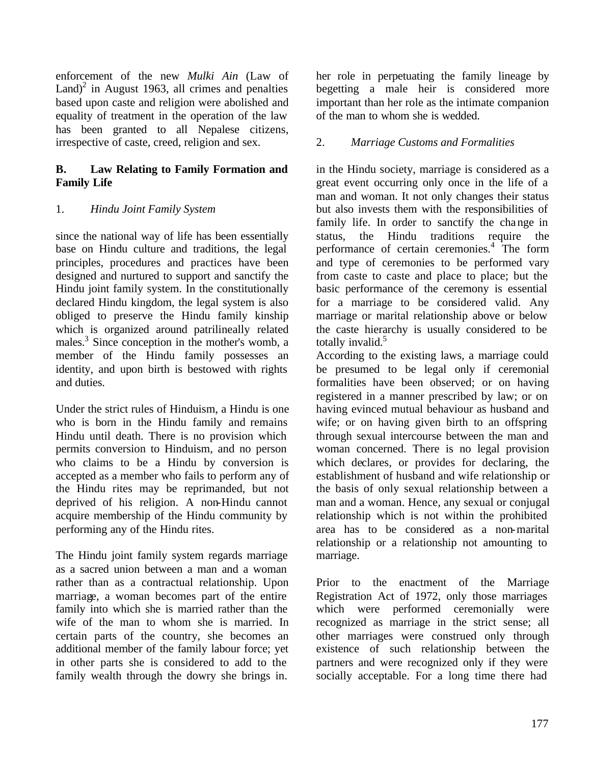enforcement of the new *Mulki Ain* (Law of  $Land)^2$  in August 1963, all crimes and penalties based upon caste and religion were abolished and equality of treatment in the operation of the law has been granted to all Nepalese citizens, irrespective of caste, creed, religion and sex.

## **B. Law Relating to Family Formation and Family Life**

## 1. *Hindu Joint Family System*

since the national way of life has been essentially base on Hindu culture and traditions, the legal principles, procedures and practices have been designed and nurtured to support and sanctify the Hindu joint family system. In the constitutionally declared Hindu kingdom, the legal system is also obliged to preserve the Hindu family kinship which is organized around patrilineally related males.<sup>3</sup> Since conception in the mother's womb, a member of the Hindu family possesses an identity, and upon birth is bestowed with rights and duties.

Under the strict rules of Hinduism, a Hindu is one who is born in the Hindu family and remains Hindu until death. There is no provision which permits conversion to Hinduism, and no person who claims to be a Hindu by conversion is accepted as a member who fails to perform any of the Hindu rites may be reprimanded, but not deprived of his religion. A non-Hindu cannot acquire membership of the Hindu community by performing any of the Hindu rites.

The Hindu joint family system regards marriage as a sacred union between a man and a woman rather than as a contractual relationship. Upon marriage, a woman becomes part of the entire family into which she is married rather than the wife of the man to whom she is married. In certain parts of the country, she becomes an additional member of the family labour force; yet in other parts she is considered to add to the family wealth through the dowry she brings in.

her role in perpetuating the family lineage by begetting a male heir is considered more important than her role as the intimate companion of the man to whom she is wedded.

## 2. *Marriage Customs and Formalities*

in the Hindu society, marriage is considered as a great event occurring only once in the life of a man and woman. It not only changes their status but also invests them with the responsibilities of family life. In order to sanctify the change in status, the Hindu traditions require the performance of certain ceremonies.<sup>4</sup> The form and type of ceremonies to be performed vary from caste to caste and place to place; but the basic performance of the ceremony is essential for a marriage to be considered valid. Any marriage or marital relationship above or below the caste hierarchy is usually considered to be totally invalid.<sup>5</sup>

According to the existing laws, a marriage could be presumed to be legal only if ceremonial formalities have been observed; or on having registered in a manner prescribed by law; or on having evinced mutual behaviour as husband and wife; or on having given birth to an offspring through sexual intercourse between the man and woman concerned. There is no legal provision which declares, or provides for declaring, the establishment of husband and wife relationship or the basis of only sexual relationship between a man and a woman. Hence, any sexual or conjugal relationship which is not within the prohibited area has to be considered as a non-marital relationship or a relationship not amounting to marriage.

Prior to the enactment of the Marriage Registration Act of 1972, only those marriages which were performed ceremonially were recognized as marriage in the strict sense; all other marriages were construed only through existence of such relationship between the partners and were recognized only if they were socially acceptable. For a long time there had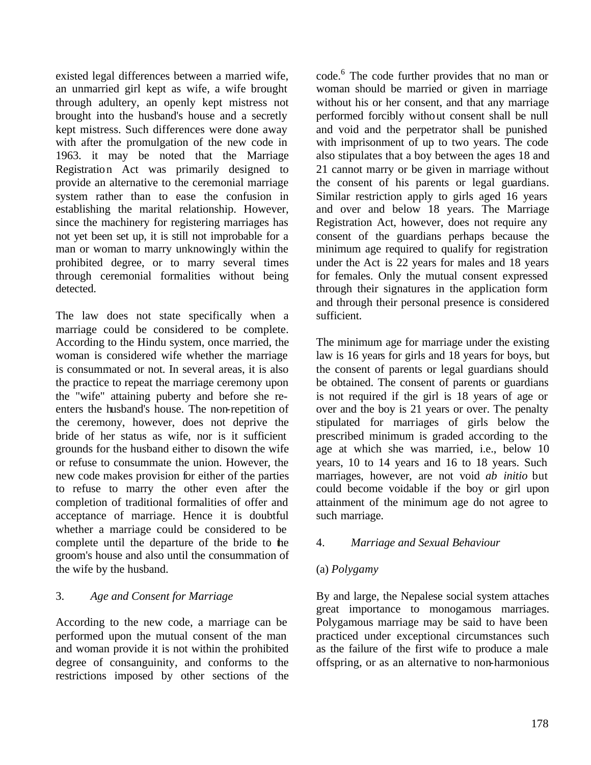existed legal differences between a married wife, an unmarried girl kept as wife, a wife brought through adultery, an openly kept mistress not brought into the husband's house and a secretly kept mistress. Such differences were done away with after the promulgation of the new code in 1963. it may be noted that the Marriage Registration Act was primarily designed to provide an alternative to the ceremonial marriage system rather than to ease the confusion in establishing the marital relationship. However, since the machinery for registering marriages has not yet been set up, it is still not improbable for a man or woman to marry unknowingly within the prohibited degree, or to marry several times through ceremonial formalities without being detected.

The law does not state specifically when a marriage could be considered to be complete. According to the Hindu system, once married, the woman is considered wife whether the marriage is consummated or not. In several areas, it is also the practice to repeat the marriage ceremony upon the "wife" attaining puberty and before she reenters the husband's house. The non-repetition of the ceremony, however, does not deprive the bride of her status as wife, nor is it sufficient grounds for the husband either to disown the wife or refuse to consummate the union. However, the new code makes provision for either of the parties to refuse to marry the other even after the completion of traditional formalities of offer and acceptance of marriage. Hence it is doubtful whether a marriage could be considered to be complete until the departure of the bride to the groom's house and also until the consummation of the wife by the husband.

## 3. *Age and Consent for Marriage*

According to the new code, a marriage can be performed upon the mutual consent of the man and woman provide it is not within the prohibited degree of consanguinity, and conforms to the restrictions imposed by other sections of the

code.<sup>6</sup> The code further provides that no man or woman should be married or given in marriage without his or her consent, and that any marriage performed forcibly without consent shall be null and void and the perpetrator shall be punished with imprisonment of up to two years. The code also stipulates that a boy between the ages 18 and 21 cannot marry or be given in marriage without the consent of his parents or legal guardians. Similar restriction apply to girls aged 16 years and over and below 18 years. The Marriage Registration Act, however, does not require any consent of the guardians perhaps because the minimum age required to qualify for registration under the Act is 22 years for males and 18 years for females. Only the mutual consent expressed through their signatures in the application form and through their personal presence is considered sufficient.

The minimum age for marriage under the existing law is 16 years for girls and 18 years for boys, but the consent of parents or legal guardians should be obtained. The consent of parents or guardians is not required if the girl is 18 years of age or over and the boy is 21 years or over. The penalty stipulated for marriages of girls below the prescribed minimum is graded according to the age at which she was married, i.e., below 10 years, 10 to 14 years and 16 to 18 years. Such marriages, however, are not void *ab initio* but could become voidable if the boy or girl upon attainment of the minimum age do not agree to such marriage.

## 4. *Marriage and Sexual Behaviour*

## (a) *Polygamy*

By and large, the Nepalese social system attaches great importance to monogamous marriages. Polygamous marriage may be said to have been practiced under exceptional circumstances such as the failure of the first wife to produce a male offspring, or as an alternative to non-harmonious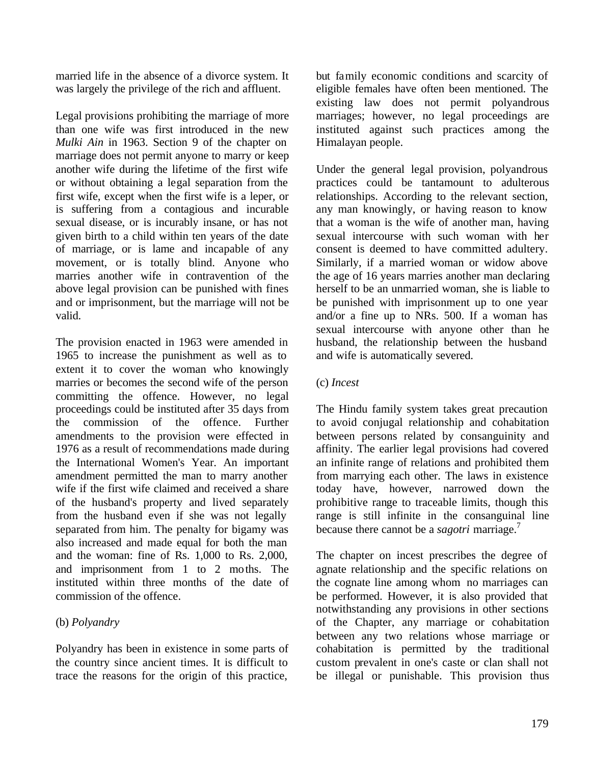married life in the absence of a divorce system. It was largely the privilege of the rich and affluent.

Legal provisions prohibiting the marriage of more than one wife was first introduced in the new *Mulki Ain* in 1963. Section 9 of the chapter on marriage does not permit anyone to marry or keep another wife during the lifetime of the first wife or without obtaining a legal separation from the first wife, except when the first wife is a leper, or is suffering from a contagious and incurable sexual disease, or is incurably insane, or has not given birth to a child within ten years of the date of marriage, or is lame and incapable of any movement, or is totally blind. Anyone who marries another wife in contravention of the above legal provision can be punished with fines and or imprisonment, but the marriage will not be valid.

The provision enacted in 1963 were amended in 1965 to increase the punishment as well as to extent it to cover the woman who knowingly marries or becomes the second wife of the person committing the offence. However, no legal proceedings could be instituted after 35 days from the commission of the offence. Further amendments to the provision were effected in 1976 as a result of recommendations made during the International Women's Year. An important amendment permitted the man to marry another wife if the first wife claimed and received a share of the husband's property and lived separately from the husband even if she was not legally separated from him. The penalty for bigamy was also increased and made equal for both the man and the woman: fine of Rs. 1,000 to Rs. 2,000, and imprisonment from 1 to 2 moths. The instituted within three months of the date of commission of the offence.

## (b) *Polyandry*

Polyandry has been in existence in some parts of the country since ancient times. It is difficult to trace the reasons for the origin of this practice,

but family economic conditions and scarcity of eligible females have often been mentioned. The existing law does not permit polyandrous marriages; however, no legal proceedings are instituted against such practices among the Himalayan people.

Under the general legal provision, polyandrous practices could be tantamount to adulterous relationships. According to the relevant section, any man knowingly, or having reason to know that a woman is the wife of another man, having sexual intercourse with such woman with her consent is deemed to have committed adultery. Similarly, if a married woman or widow above the age of 16 years marries another man declaring herself to be an unmarried woman, she is liable to be punished with imprisonment up to one year and/or a fine up to NRs. 500. If a woman has sexual intercourse with anyone other than he husband, the relationship between the husband and wife is automatically severed.

## (c) *Incest*

The Hindu family system takes great precaution to avoid conjugal relationship and cohabitation between persons related by consanguinity and affinity. The earlier legal provisions had covered an infinite range of relations and prohibited them from marrying each other. The laws in existence today have, however, narrowed down the prohibitive range to traceable limits, though this range is still infinite in the consanguinal line because there cannot be a *sagotri* marriage.<sup>7</sup>

The chapter on incest prescribes the degree of agnate relationship and the specific relations on the cognate line among whom no marriages can be performed. However, it is also provided that notwithstanding any provisions in other sections of the Chapter, any marriage or cohabitation between any two relations whose marriage or cohabitation is permitted by the traditional custom prevalent in one's caste or clan shall not be illegal or punishable. This provision thus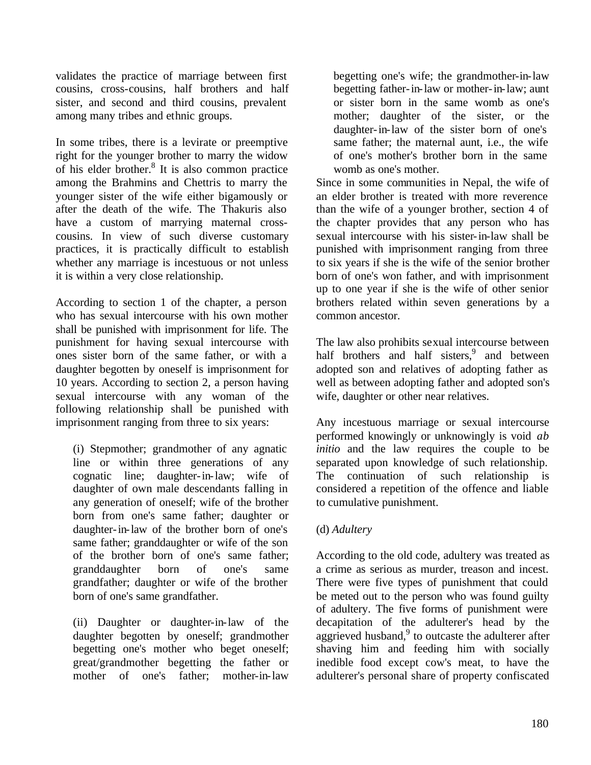validates the practice of marriage between first cousins, cross-cousins, half brothers and half sister, and second and third cousins, prevalent among many tribes and ethnic groups.

In some tribes, there is a levirate or preemptive right for the younger brother to marry the widow of his elder brother.<sup>8</sup> It is also common practice among the Brahmins and Chettris to marry the younger sister of the wife either bigamously or after the death of the wife. The Thakuris also have a custom of marrying maternal crosscousins. In view of such diverse customary practices, it is practically difficult to establish whether any marriage is incestuous or not unless it is within a very close relationship.

According to section 1 of the chapter, a person who has sexual intercourse with his own mother shall be punished with imprisonment for life. The punishment for having sexual intercourse with ones sister born of the same father, or with a daughter begotten by oneself is imprisonment for 10 years. According to section 2, a person having sexual intercourse with any woman of the following relationship shall be punished with imprisonment ranging from three to six years:

(i) Stepmother; grandmother of any agnatic line or within three generations of any cognatic line; daughter-in-law; wife of daughter of own male descendants falling in any generation of oneself; wife of the brother born from one's same father; daughter or daughter-in-law of the brother born of one's same father; granddaughter or wife of the son of the brother born of one's same father; granddaughter born of one's same grandfather; daughter or wife of the brother born of one's same grandfather.

(ii) Daughter or daughter-in-law of the daughter begotten by oneself; grandmother begetting one's mother who beget oneself; great/grandmother begetting the father or mother of one's father; mother-in-law

begetting one's wife; the grandmother-in-law begetting father-in-law or mother-in-law; aunt or sister born in the same womb as one's mother; daughter of the sister, or the daughter-in-law of the sister born of one's same father; the maternal aunt, i.e., the wife of one's mother's brother born in the same womb as one's mother.

Since in some communities in Nepal, the wife of an elder brother is treated with more reverence than the wife of a younger brother, section 4 of the chapter provides that any person who has sexual intercourse with his sister-in-law shall be punished with imprisonment ranging from three to six years if she is the wife of the senior brother born of one's won father, and with imprisonment up to one year if she is the wife of other senior brothers related within seven generations by a common ancestor.

The law also prohibits sexual intercourse between half brothers and half sisters,<sup>9</sup> and between adopted son and relatives of adopting father as well as between adopting father and adopted son's wife, daughter or other near relatives.

Any incestuous marriage or sexual intercourse performed knowingly or unknowingly is void *ab initio* and the law requires the couple to be separated upon knowledge of such relationship. The continuation of such relationship is considered a repetition of the offence and liable to cumulative punishment.

## (d) *Adultery*

According to the old code, adultery was treated as a crime as serious as murder, treason and incest. There were five types of punishment that could be meted out to the person who was found guilty of adultery. The five forms of punishment were decapitation of the adulterer's head by the aggrieved husband, $9$  to outcaste the adulterer after shaving him and feeding him with socially inedible food except cow's meat, to have the adulterer's personal share of property confiscated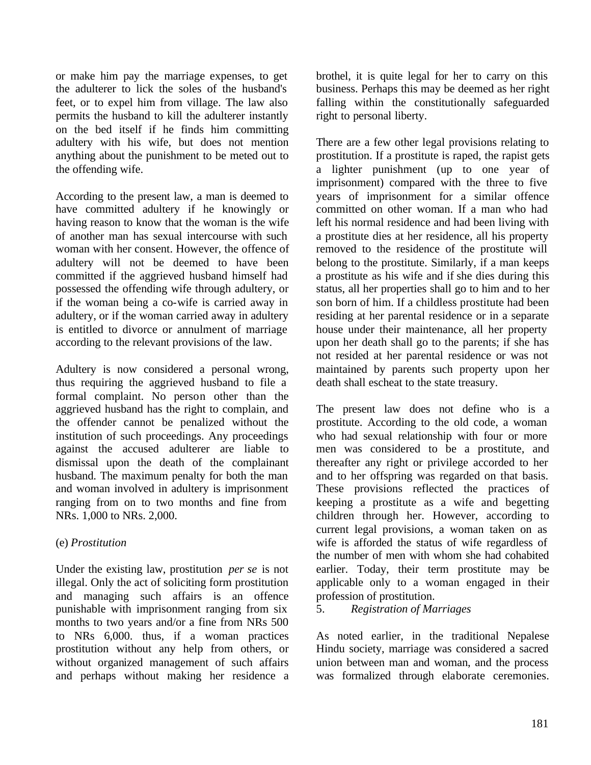or make him pay the marriage expenses, to get the adulterer to lick the soles of the husband's feet, or to expel him from village. The law also permits the husband to kill the adulterer instantly on the bed itself if he finds him committing adultery with his wife, but does not mention anything about the punishment to be meted out to the offending wife.

According to the present law, a man is deemed to have committed adultery if he knowingly or having reason to know that the woman is the wife of another man has sexual intercourse with such woman with her consent. However, the offence of adultery will not be deemed to have been committed if the aggrieved husband himself had possessed the offending wife through adultery, or if the woman being a co-wife is carried away in adultery, or if the woman carried away in adultery is entitled to divorce or annulment of marriage according to the relevant provisions of the law.

Adultery is now considered a personal wrong, thus requiring the aggrieved husband to file a formal complaint. No person other than the aggrieved husband has the right to complain, and the offender cannot be penalized without the institution of such proceedings. Any proceedings against the accused adulterer are liable to dismissal upon the death of the complainant husband. The maximum penalty for both the man and woman involved in adultery is imprisonment ranging from on to two months and fine from NRs. 1,000 to NRs. 2,000.

## (e) *Prostitution*

Under the existing law, prostitution *per se* is not illegal. Only the act of soliciting form prostitution and managing such affairs is an offence punishable with imprisonment ranging from six months to two years and/or a fine from NRs 500 to NRs 6,000. thus, if a woman practices prostitution without any help from others, or without organized management of such affairs and perhaps without making her residence a brothel, it is quite legal for her to carry on this business. Perhaps this may be deemed as her right falling within the constitutionally safeguarded right to personal liberty.

There are a few other legal provisions relating to prostitution. If a prostitute is raped, the rapist gets a lighter punishment (up to one year of imprisonment) compared with the three to five years of imprisonment for a similar offence committed on other woman. If a man who had left his normal residence and had been living with a prostitute dies at her residence, all his property removed to the residence of the prostitute will belong to the prostitute. Similarly, if a man keeps a prostitute as his wife and if she dies during this status, all her properties shall go to him and to her son born of him. If a childless prostitute had been residing at her parental residence or in a separate house under their maintenance, all her property upon her death shall go to the parents; if she has not resided at her parental residence or was not maintained by parents such property upon her death shall escheat to the state treasury.

The present law does not define who is a prostitute. According to the old code, a woman who had sexual relationship with four or more men was considered to be a prostitute, and thereafter any right or privilege accorded to her and to her offspring was regarded on that basis. These provisions reflected the practices of keeping a prostitute as a wife and begetting children through her. However, according to current legal provisions, a woman taken on as wife is afforded the status of wife regardless of the number of men with whom she had cohabited earlier. Today, their term prostitute may be applicable only to a woman engaged in their profession of prostitution.

5. *Registration of Marriages*

As noted earlier, in the traditional Nepalese Hindu society, marriage was considered a sacred union between man and woman, and the process was formalized through elaborate ceremonies.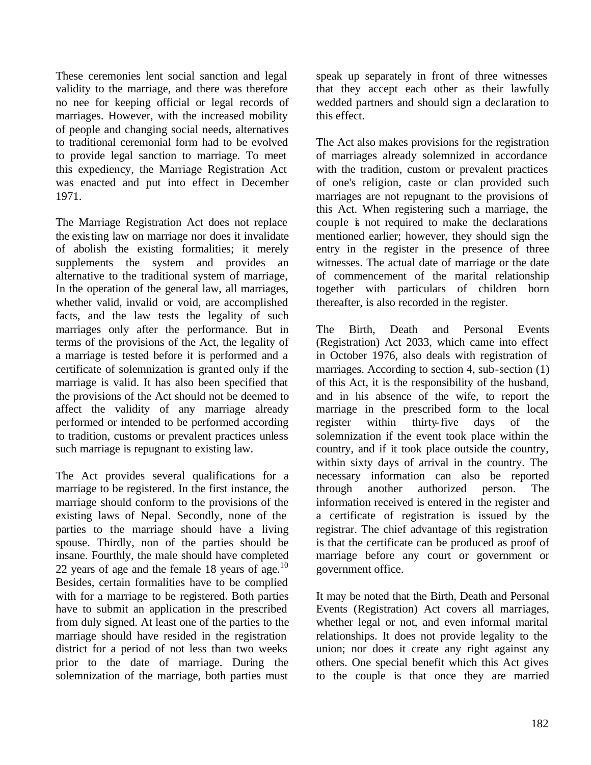These ceremonies lent social sanction and legal validity to the marriage, and there was therefore no nee for keeping official or legal records of marriages. However, with the increased mobility of people and changing social needs, alternatives to traditional ceremonial form had to be evolved to provide legal sanction to marriage. To meet this expediency, the Marriage Registration Act was enacted and put into effect in December 1971.

The Marriage Registration Act does not replace the existing law on marriage nor does it invalidate of abolish the existing formalities; it merely supplements the system and provides an alternative to the traditional system of marriage, In the operation of the general law, all marriages, whether valid, invalid or void, are accomplished facts, and the law tests the legality of such marriages only after the performance. But in terms of the provisions of the Act, the legality of a marriage is tested before it is performed and a certificate of solemnization is grant ed only if the marriage is valid. It has also been specified that the provisions of the Act should not be deemed to affect the validity of any marriage already performed or intended to be performed according to tradition, customs or prevalent practices unless such marriage is repugnant to existing law.

The Act provides several qualifications for a marriage to be registered. In the first instance, the marriage should conform to the provisions of the existing laws of Nepal. Secondly, none of the parties to the marriage should have a living spouse. Thirdly, non of the parties should be insane. Fourthly, the male should have completed 22 years of age and the female 18 years of age.<sup>10</sup> Besides, certain formalities have to be complied with for a marriage to be registered. Both parties have to submit an application in the prescribed from duly signed. At least one of the parties to the marriage should have resided in the registration district for a period of not less than two weeks prior to the date of marriage. During the solemnization of the marriage, both parties must

speak up separately in front of three witnesses that they accept each other as their lawfully wedded partners and should sign a declaration to this effect.

The Act also makes provisions for the registration of marriages already solemnized in accordance with the tradition, custom or prevalent practices of one's religion, caste or clan provided such marriages are not repugnant to the provisions of this Act. When registering such a marriage, the couple is not required to make the declarations mentioned earlier; however, they should sign the entry in the register in the presence of three witnesses. The actual date of marriage or the date of commencement of the marital relationship together with particulars of children born thereafter, is also recorded in the register.

The Birth, Death and Personal Events (Registration) Act 2033, which came into effect in October 1976, also deals with registration of marriages. According to section 4, sub-section (1) of this Act, it is the responsibility of the husband, and in his absence of the wife, to report the marriage in the prescribed form to the local register within thirty-five days of the solemnization if the event took place within the country, and if it took place outside the country, within sixty days of arrival in the country. The necessary information can also be reported through another authorized person. The information received is entered in the register and a certificate of registration is issued by the registrar. The chief advantage of this registration is that the certificate can be produced as proof of marriage before any court or government or government office.

It may be noted that the Birth, Death and Personal Events (Registration) Act covers all marriages, whether legal or not, and even informal marital relationships. It does not provide legality to the union; nor does it create any right against any others. One special benefit which this Act gives to the couple is that once they are married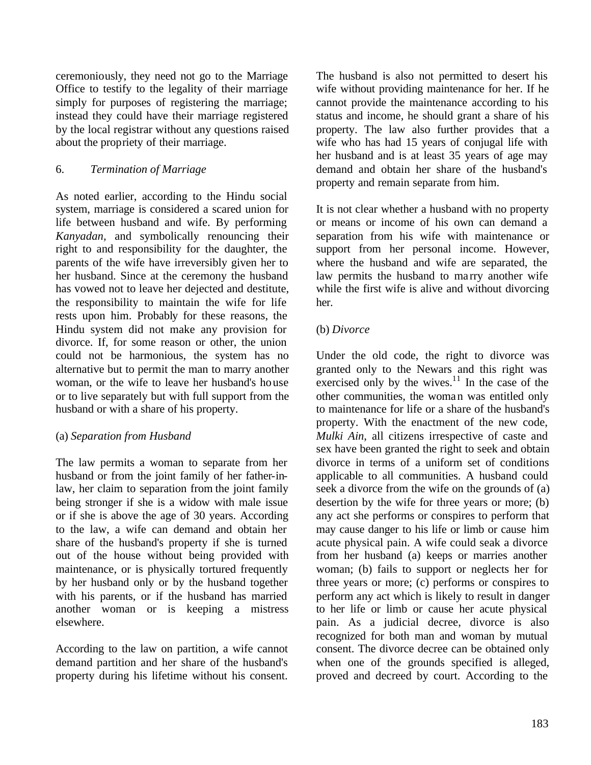ceremoniously, they need not go to the Marriage Office to testify to the legality of their marriage simply for purposes of registering the marriage; instead they could have their marriage registered by the local registrar without any questions raised about the propriety of their marriage.

## 6. *Termination of Marriage*

As noted earlier, according to the Hindu social system, marriage is considered a scared union for life between husband and wife. By performing *Kanyadan,* and symbolically renouncing their right to and responsibility for the daughter, the parents of the wife have irreversibly given her to her husband. Since at the ceremony the husband has vowed not to leave her dejected and destitute, the responsibility to maintain the wife for life rests upon him. Probably for these reasons, the Hindu system did not make any provision for divorce. If, for some reason or other, the union could not be harmonious, the system has no alternative but to permit the man to marry another woman, or the wife to leave her husband's house or to live separately but with full support from the husband or with a share of his property.

## (a) *Separation from Husband*

The law permits a woman to separate from her husband or from the joint family of her father-inlaw, her claim to separation from the joint family being stronger if she is a widow with male issue or if she is above the age of 30 years. According to the law, a wife can demand and obtain her share of the husband's property if she is turned out of the house without being provided with maintenance, or is physically tortured frequently by her husband only or by the husband together with his parents, or if the husband has married another woman or is keeping a mistress elsewhere.

According to the law on partition, a wife cannot demand partition and her share of the husband's property during his lifetime without his consent. The husband is also not permitted to desert his wife without providing maintenance for her. If he cannot provide the maintenance according to his status and income, he should grant a share of his property. The law also further provides that a wife who has had 15 years of conjugal life with her husband and is at least 35 years of age may demand and obtain her share of the husband's property and remain separate from him.

It is not clear whether a husband with no property or means or income of his own can demand a separation from his wife with maintenance or support from her personal income. However, where the husband and wife are separated, the law permits the husband to ma rry another wife while the first wife is alive and without divorcing her.

## (b) *Divorce*

Under the old code, the right to divorce was granted only to the Newars and this right was exercised only by the wives. $11$  In the case of the other communities, the woman was entitled only to maintenance for life or a share of the husband's property. With the enactment of the new code, *Mulki Ain*, all citizens irrespective of caste and sex have been granted the right to seek and obtain divorce in terms of a uniform set of conditions applicable to all communities. A husband could seek a divorce from the wife on the grounds of (a) desertion by the wife for three years or more; (b) any act she performs or conspires to perform that may cause danger to his life or limb or cause him acute physical pain. A wife could seak a divorce from her husband (a) keeps or marries another woman; (b) fails to support or neglects her for three years or more; (c) performs or conspires to perform any act which is likely to result in danger to her life or limb or cause her acute physical pain. As a judicial decree, divorce is also recognized for both man and woman by mutual consent. The divorce decree can be obtained only when one of the grounds specified is alleged, proved and decreed by court. According to the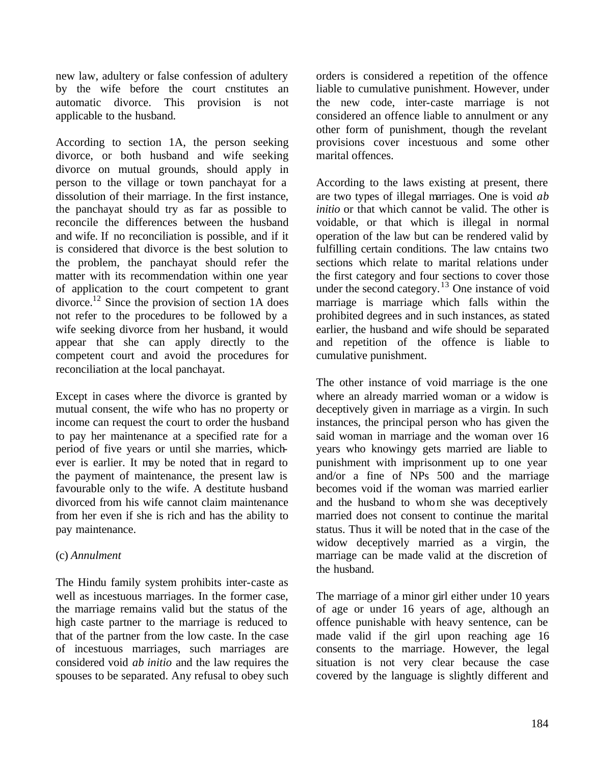new law, adultery or false confession of adultery by the wife before the court cnstitutes an automatic divorce. This provision is not applicable to the husband.

According to section 1A, the person seeking divorce, or both husband and wife seeking divorce on mutual grounds, should apply in person to the village or town panchayat for a dissolution of their marriage. In the first instance, the panchayat should try as far as possible to reconcile the differences between the husband and wife. If no reconciliation is possible, and if it is considered that divorce is the best solution to the problem, the panchayat should refer the matter with its recommendation within one year of application to the court competent to grant divorce.<sup>12</sup> Since the provision of section 1A does not refer to the procedures to be followed by a wife seeking divorce from her husband, it would appear that she can apply directly to the competent court and avoid the procedures for reconciliation at the local panchayat.

Except in cases where the divorce is granted by mutual consent, the wife who has no property or income can request the court to order the husband to pay her maintenance at a specified rate for a period of five years or until she marries, whichever is earlier. It may be noted that in regard to the payment of maintenance, the present law is favourable only to the wife. A destitute husband divorced from his wife cannot claim maintenance from her even if she is rich and has the ability to pay maintenance.

## (c) *Annulment*

The Hindu family system prohibits inter-caste as well as incestuous marriages. In the former case, the marriage remains valid but the status of the high caste partner to the marriage is reduced to that of the partner from the low caste. In the case of incestuous marriages, such marriages are considered void *ab initio* and the law requires the spouses to be separated. Any refusal to obey such orders is considered a repetition of the offence liable to cumulative punishment. However, under the new code, inter-caste marriage is not considered an offence liable to annulment or any other form of punishment, though the revelant provisions cover incestuous and some other marital offences.

According to the laws existing at present, there are two types of illegal marriages. One is void *ab initio* or that which cannot be valid. The other is voidable, or that which is illegal in normal operation of the law but can be rendered valid by fulfilling certain conditions. The law cntains two sections which relate to marital relations under the first category and four sections to cover those under the second category.<sup>13</sup> One instance of void marriage is marriage which falls within the prohibited degrees and in such instances, as stated earlier, the husband and wife should be separated and repetition of the offence is liable to cumulative punishment.

The other instance of void marriage is the one where an already married woman or a widow is deceptively given in marriage as a virgin. In such instances, the principal person who has given the said woman in marriage and the woman over 16 years who knowingy gets married are liable to punishment with imprisonment up to one year and/or a fine of NPs 500 and the marriage becomes void if the woman was married earlier and the husband to whom she was deceptively married does not consent to continue the marital status. Thus it will be noted that in the case of the widow deceptively married as a virgin, the marriage can be made valid at the discretion of the husband.

The marriage of a minor girl either under 10 years of age or under 16 years of age, although an offence punishable with heavy sentence, can be made valid if the girl upon reaching age 16 consents to the marriage. However, the legal situation is not very clear because the case covered by the language is slightly different and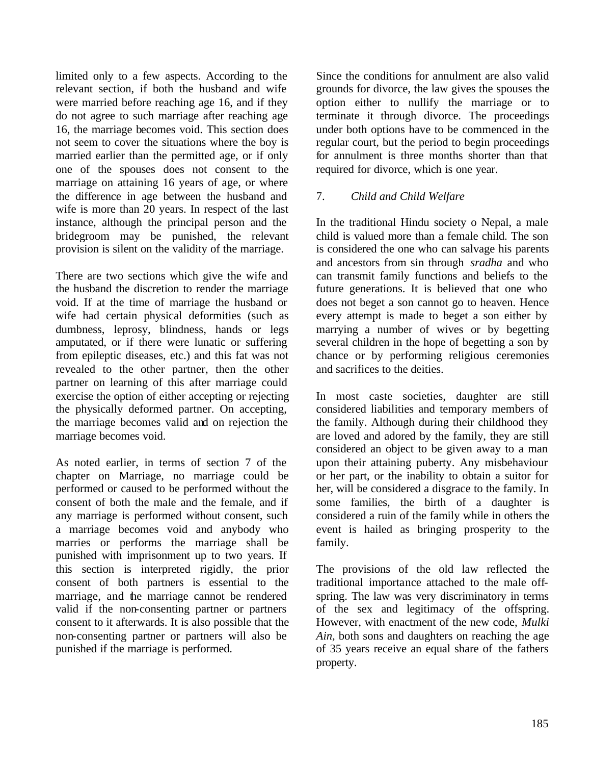limited only to a few aspects. According to the relevant section, if both the husband and wife were married before reaching age 16, and if they do not agree to such marriage after reaching age 16, the marriage becomes void. This section does not seem to cover the situations where the boy is married earlier than the permitted age, or if only one of the spouses does not consent to the marriage on attaining 16 years of age, or where the difference in age between the husband and wife is more than 20 years. In respect of the last instance, although the principal person and the bridegroom may be punished, the relevant provision is silent on the validity of the marriage.

There are two sections which give the wife and the husband the discretion to render the marriage void. If at the time of marriage the husband or wife had certain physical deformities (such as dumbness, leprosy, blindness, hands or legs amputated, or if there were lunatic or suffering from epileptic diseases, etc.) and this fat was not revealed to the other partner, then the other partner on learning of this after marriage could exercise the option of either accepting or rejecting the physically deformed partner. On accepting, the marriage becomes valid and on rejection the marriage becomes void.

As noted earlier, in terms of section 7 of the chapter on Marriage, no marriage could be performed or caused to be performed without the consent of both the male and the female, and if any marriage is performed without consent, such a marriage becomes void and anybody who marries or performs the marriage shall be punished with imprisonment up to two years. If this section is interpreted rigidly, the prior consent of both partners is essential to the marriage, and the marriage cannot be rendered valid if the non-consenting partner or partners consent to it afterwards. It is also possible that the non-consenting partner or partners will also be punished if the marriage is performed.

Since the conditions for annulment are also valid grounds for divorce, the law gives the spouses the option either to nullify the marriage or to terminate it through divorce. The proceedings under both options have to be commenced in the regular court, but the period to begin proceedings for annulment is three months shorter than that required for divorce, which is one year.

## 7. *Child and Child Welfare*

In the traditional Hindu society o Nepal, a male child is valued more than a female child. The son is considered the one who can salvage his parents and ancestors from sin through *sradha* and who can transmit family functions and beliefs to the future generations. It is believed that one who does not beget a son cannot go to heaven. Hence every attempt is made to beget a son either by marrying a number of wives or by begetting several children in the hope of begetting a son by chance or by performing religious ceremonies and sacrifices to the deities.

In most caste societies, daughter are still considered liabilities and temporary members of the family. Although during their childhood they are loved and adored by the family, they are still considered an object to be given away to a man upon their attaining puberty. Any misbehaviour or her part, or the inability to obtain a suitor for her, will be considered a disgrace to the family. In some families, the birth of a daughter is considered a ruin of the family while in others the event is hailed as bringing prosperity to the family.

The provisions of the old law reflected the traditional importance attached to the male offspring. The law was very discriminatory in terms of the sex and legitimacy of the offspring. However, with enactment of the new code, *Mulki Ain,* both sons and daughters on reaching the age of 35 years receive an equal share of the fathers property.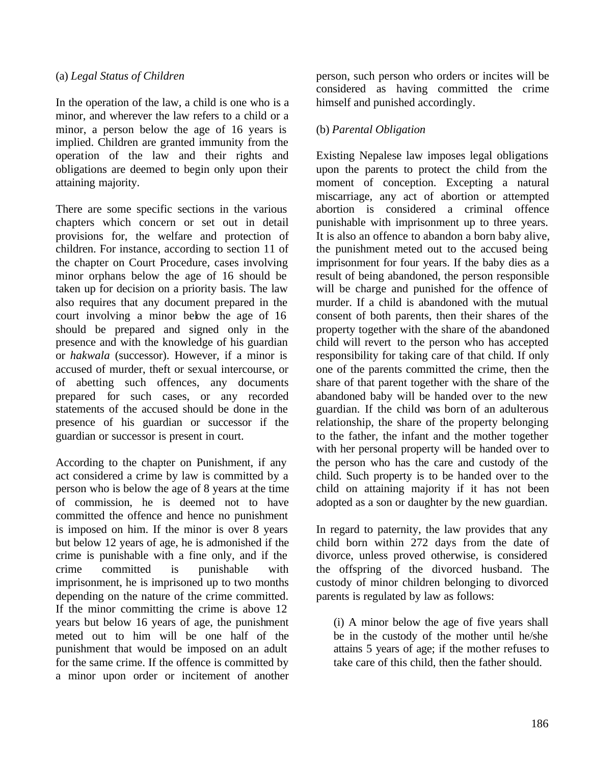#### (a) *Legal Status of Children*

In the operation of the law, a child is one who is a minor, and wherever the law refers to a child or a minor, a person below the age of 16 years is implied. Children are granted immunity from the operation of the law and their rights and obligations are deemed to begin only upon their attaining majority.

There are some specific sections in the various chapters which concern or set out in detail provisions for, the welfare and protection of children. For instance, according to section 11 of the chapter on Court Procedure, cases involving minor orphans below the age of 16 should be taken up for decision on a priority basis. The law also requires that any document prepared in the court involving a minor below the age of 16 should be prepared and signed only in the presence and with the knowledge of his guardian or *hakwala* (successor). However, if a minor is accused of murder, theft or sexual intercourse, or of abetting such offences, any documents prepared for such cases, or any recorded statements of the accused should be done in the presence of his guardian or successor if the guardian or successor is present in court.

According to the chapter on Punishment, if any act considered a crime by law is committed by a person who is below the age of 8 years at the time of commission, he is deemed not to have committed the offence and hence no punishment is imposed on him. If the minor is over 8 years but below 12 years of age, he is admonished if the crime is punishable with a fine only, and if the crime committed is punishable with imprisonment, he is imprisoned up to two months depending on the nature of the crime committed. If the minor committing the crime is above 12 years but below 16 years of age, the punishment meted out to him will be one half of the punishment that would be imposed on an adult for the same crime. If the offence is committed by a minor upon order or incitement of another person, such person who orders or incites will be considered as having committed the crime himself and punished accordingly.

## (b) *Parental Obligation*

Existing Nepalese law imposes legal obligations upon the parents to protect the child from the moment of conception. Excepting a natural miscarriage, any act of abortion or attempted abortion is considered a criminal offence punishable with imprisonment up to three years. It is also an offence to abandon a born baby alive, the punishment meted out to the accused being imprisonment for four years. If the baby dies as a result of being abandoned, the person responsible will be charge and punished for the offence of murder. If a child is abandoned with the mutual consent of both parents, then their shares of the property together with the share of the abandoned child will revert to the person who has accepted responsibility for taking care of that child. If only one of the parents committed the crime, then the share of that parent together with the share of the abandoned baby will be handed over to the new guardian. If the child was born of an adulterous relationship, the share of the property belonging to the father, the infant and the mother together with her personal property will be handed over to the person who has the care and custody of the child. Such property is to be handed over to the child on attaining majority if it has not been adopted as a son or daughter by the new guardian.

In regard to paternity, the law provides that any child born within 272 days from the date of divorce, unless proved otherwise, is considered the offspring of the divorced husband. The custody of minor children belonging to divorced parents is regulated by law as follows:

(i) A minor below the age of five years shall be in the custody of the mother until he/she attains 5 years of age; if the mother refuses to take care of this child, then the father should.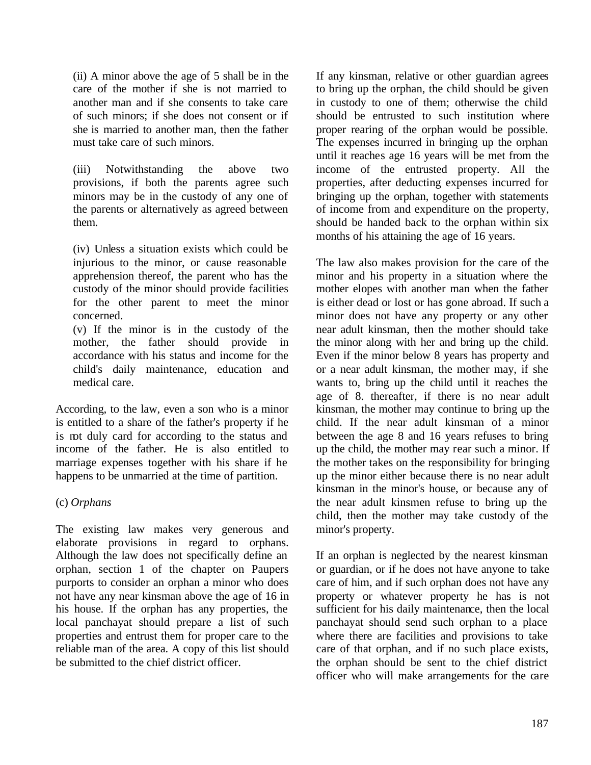(ii) A minor above the age of 5 shall be in the care of the mother if she is not married to another man and if she consents to take care of such minors; if she does not consent or if she is married to another man, then the father must take care of such minors.

(iii) Notwithstanding the above two provisions, if both the parents agree such minors may be in the custody of any one of the parents or alternatively as agreed between them.

(iv) Unless a situation exists which could be injurious to the minor, or cause reasonable apprehension thereof, the parent who has the custody of the minor should provide facilities for the other parent to meet the minor concerned.

(v) If the minor is in the custody of the mother, the father should provide in accordance with his status and income for the child's daily maintenance, education and medical care.

According, to the law, even a son who is a minor is entitled to a share of the father's property if he is not duly card for according to the status and income of the father. He is also entitled to marriage expenses together with his share if he happens to be unmarried at the time of partition.

## (c) *Orphans*

The existing law makes very generous and elaborate provisions in regard to orphans. Although the law does not specifically define an orphan, section 1 of the chapter on Paupers purports to consider an orphan a minor who does not have any near kinsman above the age of 16 in his house. If the orphan has any properties, the local panchayat should prepare a list of such properties and entrust them for proper care to the reliable man of the area. A copy of this list should be submitted to the chief district officer.

If any kinsman, relative or other guardian agrees to bring up the orphan, the child should be given in custody to one of them; otherwise the child should be entrusted to such institution where proper rearing of the orphan would be possible. The expenses incurred in bringing up the orphan until it reaches age 16 years will be met from the income of the entrusted property. All the properties, after deducting expenses incurred for bringing up the orphan, together with statements of income from and expenditure on the property, should be handed back to the orphan within six months of his attaining the age of 16 years.

The law also makes provision for the care of the minor and his property in a situation where the mother elopes with another man when the father is either dead or lost or has gone abroad. If such a minor does not have any property or any other near adult kinsman, then the mother should take the minor along with her and bring up the child. Even if the minor below 8 years has property and or a near adult kinsman, the mother may, if she wants to, bring up the child until it reaches the age of 8. thereafter, if there is no near adult kinsman, the mother may continue to bring up the child. If the near adult kinsman of a minor between the age 8 and 16 years refuses to bring up the child, the mother may rear such a minor. If the mother takes on the responsibility for bringing up the minor either because there is no near adult kinsman in the minor's house, or because any of the near adult kinsmen refuse to bring up the child, then the mother may take custody of the minor's property.

If an orphan is neglected by the nearest kinsman or guardian, or if he does not have anyone to take care of him, and if such orphan does not have any property or whatever property he has is not sufficient for his daily maintenance, then the local panchayat should send such orphan to a place where there are facilities and provisions to take care of that orphan, and if no such place exists, the orphan should be sent to the chief district officer who will make arrangements for the care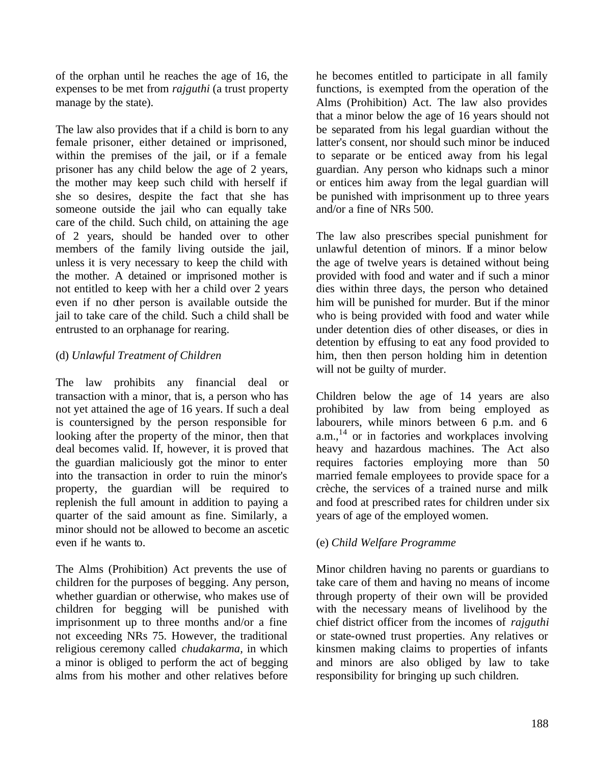of the orphan until he reaches the age of 16, the expenses to be met from *rajguthi* (a trust property manage by the state).

The law also provides that if a child is born to any female prisoner, either detained or imprisoned, within the premises of the jail, or if a female prisoner has any child below the age of 2 years, the mother may keep such child with herself if she so desires, despite the fact that she has someone outside the jail who can equally take care of the child. Such child, on attaining the age of 2 years, should be handed over to other members of the family living outside the jail, unless it is very necessary to keep the child with the mother. A detained or imprisoned mother is not entitled to keep with her a child over 2 years even if no other person is available outside the jail to take care of the child. Such a child shall be entrusted to an orphanage for rearing.

## (d) *Unlawful Treatment of Children*

The law prohibits any financial deal or transaction with a minor, that is, a person who has not yet attained the age of 16 years. If such a deal is countersigned by the person responsible for looking after the property of the minor, then that deal becomes valid. If, however, it is proved that the guardian maliciously got the minor to enter into the transaction in order to ruin the minor's property, the guardian will be required to replenish the full amount in addition to paying a quarter of the said amount as fine. Similarly, a minor should not be allowed to become an ascetic even if he wants to.

The Alms (Prohibition) Act prevents the use of children for the purposes of begging. Any person, whether guardian or otherwise, who makes use of children for begging will be punished with imprisonment up to three months and/or a fine not exceeding NRs 75. However, the traditional religious ceremony called *chudakarma,* in which a minor is obliged to perform the act of begging alms from his mother and other relatives before

he becomes entitled to participate in all family functions, is exempted from the operation of the Alms (Prohibition) Act. The law also provides that a minor below the age of 16 years should not be separated from his legal guardian without the latter's consent, nor should such minor be induced to separate or be enticed away from his legal guardian. Any person who kidnaps such a minor or entices him away from the legal guardian will be punished with imprisonment up to three years and/or a fine of NRs 500.

The law also prescribes special punishment for unlawful detention of minors. If a minor below the age of twelve years is detained without being provided with food and water and if such a minor dies within three days, the person who detained him will be punished for murder. But if the minor who is being provided with food and water while under detention dies of other diseases, or dies in detention by effusing to eat any food provided to him, then then person holding him in detention will not be guilty of murder.

Children below the age of 14 years are also prohibited by law from being employed as labourers, while minors between 6 p.m. and 6  $a.m.,<sup>14</sup>$  or in factories and workplaces involving heavy and hazardous machines. The Act also requires factories employing more than 50 married female employees to provide space for a crèche, the services of a trained nurse and milk and food at prescribed rates for children under six years of age of the employed women.

## (e) *Child Welfare Programme*

Minor children having no parents or guardians to take care of them and having no means of income through property of their own will be provided with the necessary means of livelihood by the chief district officer from the incomes of *rajguthi*  or state-owned trust properties. Any relatives or kinsmen making claims to properties of infants and minors are also obliged by law to take responsibility for bringing up such children.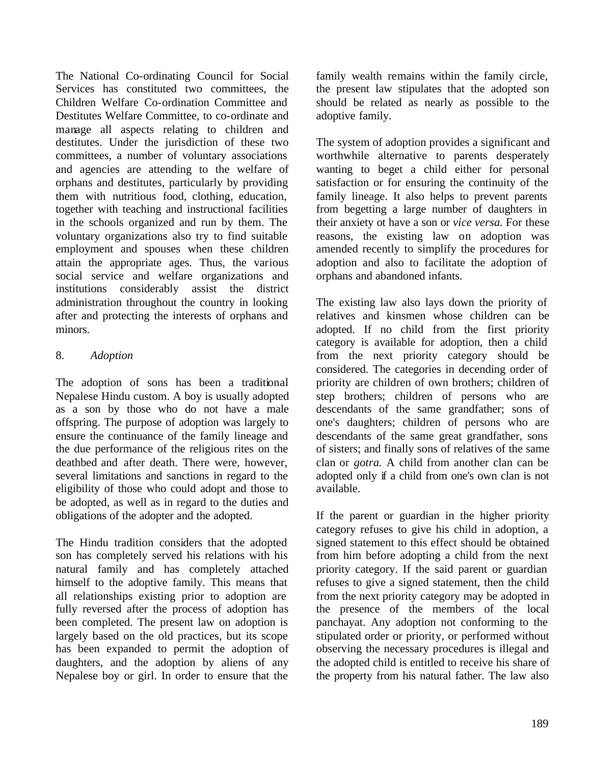The National Co-ordinating Council for Social Services has constituted two committees, the Children Welfare Co-ordination Committee and Destitutes Welfare Committee, to co-ordinate and manage all aspects relating to children and destitutes. Under the jurisdiction of these two committees, a number of voluntary associations and agencies are attending to the welfare of orphans and destitutes, particularly by providing them with nutritious food, clothing, education, together with teaching and instructional facilities in the schools organized and run by them. The voluntary organizations also try to find suitable employment and spouses when these children attain the appropriate ages. Thus, the various social service and welfare organizations and institutions considerably assist the district administration throughout the country in looking after and protecting the interests of orphans and minors.

## 8. *Adoption*

The adoption of sons has been a traditional Nepalese Hindu custom. A boy is usually adopted as a son by those who do not have a male offspring. The purpose of adoption was largely to ensure the continuance of the family lineage and the due performance of the religious rites on the deathbed and after death. There were, however, several limitations and sanctions in regard to the eligibility of those who could adopt and those to be adopted, as well as in regard to the duties and obligations of the adopter and the adopted.

The Hindu tradition considers that the adopted son has completely served his relations with his natural family and has completely attached himself to the adoptive family. This means that all relationships existing prior to adoption are fully reversed after the process of adoption has been completed. The present law on adoption is largely based on the old practices, but its scope has been expanded to permit the adoption of daughters, and the adoption by aliens of any Nepalese boy or girl. In order to ensure that the

family wealth remains within the family circle, the present law stipulates that the adopted son should be related as nearly as possible to the adoptive family.

The system of adoption provides a significant and worthwhile alternative to parents desperately wanting to beget a child either for personal satisfaction or for ensuring the continuity of the family lineage. It also helps to prevent parents from begetting a large number of daughters in their anxiety ot have a son or *vice versa.* For these reasons, the existing law on adoption was amended recently to simplify the procedures for adoption and also to facilitate the adoption of orphans and abandoned infants.

The existing law also lays down the priority of relatives and kinsmen whose children can be adopted. If no child from the first priority category is available for adoption, then a child from the next priority category should be considered. The categories in decending order of priority are children of own brothers; children of step brothers; children of persons who are descendants of the same grandfather; sons of one's daughters; children of persons who are descendants of the same great grandfather, sons of sisters; and finally sons of relatives of the same clan or *gotra.* A child from another clan can be adopted only if a child from one's own clan is not available.

If the parent or guardian in the higher priority category refuses to give his child in adoption, a signed statement to this effect should be obtained from him before adopting a child from the next priority category. If the said parent or guardian refuses to give a signed statement, then the child from the next priority category may be adopted in the presence of the members of the local panchayat. Any adoption not conforming to the stipulated order or priority, or performed without observing the necessary procedures is illegal and the adopted child is entitled to receive his share of the property from his natural father. The law also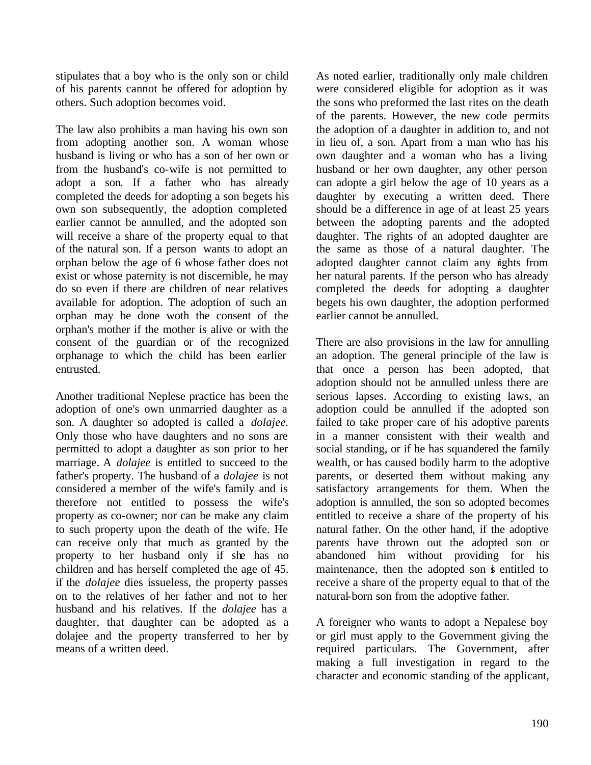stipulates that a boy who is the only son or child of his parents cannot be offered for adoption by others. Such adoption becomes void.

The law also prohibits a man having his own son from adopting another son. A woman whose husband is living or who has a son of her own or from the husband's co-wife is not permitted to adopt a son. If a father who has already completed the deeds for adopting a son begets his own son subsequently, the adoption completed earlier cannot be annulled, and the adopted son will receive a share of the property equal to that of the natural son. If a person wants to adopt an orphan below the age of 6 whose father does not exist or whose paternity is not discernible, he may do so even if there are children of near relatives available for adoption. The adoption of such an orphan may be done woth the consent of the orphan's mother if the mother is alive or with the consent of the guardian or of the recognized orphanage to which the child has been earlier entrusted.

Another traditional Neplese practice has been the adoption of one's own unmarried daughter as a son. A daughter so adopted is called a *dolajee.*  Only those who have daughters and no sons are permitted to adopt a daughter as son prior to her marriage. A *dolajee* is entitled to succeed to the father's property. The husband of a *dolajee* is not considered a member of the wife's family and is therefore not entitled to possess the wife's property as co-owner; nor can be make any claim to such property upon the death of the wife. He can receive only that much as granted by the property to her husband only if she has no children and has herself completed the age of 45. if the *dolajee* dies issueless, the property passes on to the relatives of her father and not to her husband and his relatives. If the *dolajee* has a daughter, that daughter can be adopted as a dolajee and the property transferred to her by means of a written deed.

As noted earlier, traditionally only male children were considered eligible for adoption as it was the sons who preformed the last rites on the death of the parents. However, the new code permits the adoption of a daughter in addition to, and not in lieu of, a son. Apart from a man who has his own daughter and a woman who has a living husband or her own daughter, any other person can adopte a girl below the age of 10 years as a daughter by executing a written deed. There should be a difference in age of at least 25 years between the adopting parents and the adopted daughter. The rights of an adopted daughter are the same as those of a natural daughter. The adopted daughter cannot claim any rights from her natural parents. If the person who has already completed the deeds for adopting a daughter begets his own daughter, the adoption performed earlier cannot be annulled.

There are also provisions in the law for annulling an adoption. The general principle of the law is that once a person has been adopted, that adoption should not be annulled unless there are serious lapses. According to existing laws, an adoption could be annulled if the adopted son failed to take proper care of his adoptive parents in a manner consistent with their wealth and social standing, or if he has squandered the family wealth, or has caused bodily harm to the adoptive parents, or deserted them without making any satisfactory arrangements for them. When the adoption is annulled, the son so adopted becomes entitled to receive a share of the property of his natural father. On the other hand, if the adoptive parents have thrown out the adopted son or abandoned him without providing for his maintenance, then the adopted son is entitled to receive a share of the property equal to that of the natural-born son from the adoptive father.

A foreigner who wants to adopt a Nepalese boy or girl must apply to the Government giving the required particulars. The Government, after making a full investigation in regard to the character and economic standing of the applicant,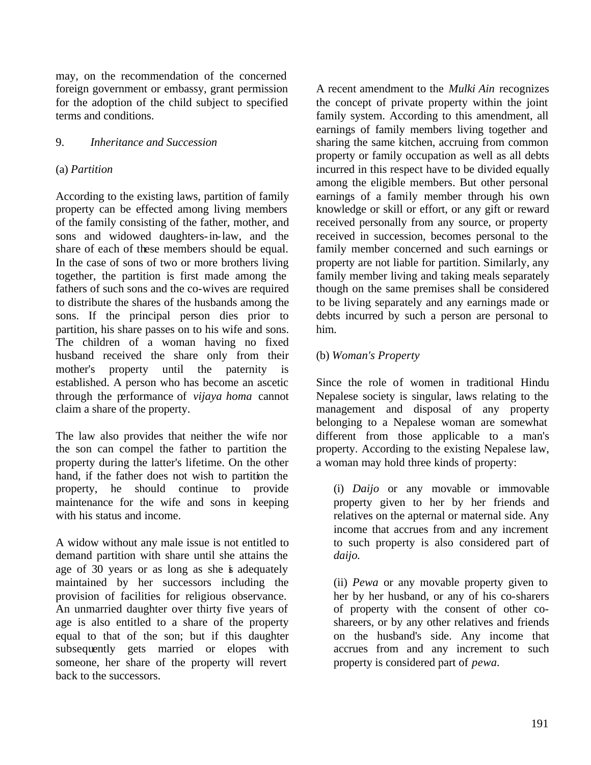may, on the recommendation of the concerned foreign government or embassy, grant permission for the adoption of the child subject to specified terms and conditions.

## 9. *Inheritance and Succession*

#### (a) *Partition*

According to the existing laws, partition of family property can be effected among living members of the family consisting of the father, mother, and sons and widowed daughters-in-law, and the share of each of these members should be equal. In the case of sons of two or more brothers living together, the partition is first made among the fathers of such sons and the co-wives are required to distribute the shares of the husbands among the sons. If the principal person dies prior to partition, his share passes on to his wife and sons. The children of a woman having no fixed husband received the share only from their mother's property until the paternity is established. A person who has become an ascetic through the performance of *vijaya homa* cannot claim a share of the property.

The law also provides that neither the wife nor the son can compel the father to partition the property during the latter's lifetime. On the other hand, if the father does not wish to partition the property, he should continue to provide maintenance for the wife and sons in keeping with his status and income.

A widow without any male issue is not entitled to demand partition with share until she attains the age of 30 years or as long as she is adequately maintained by her successors including the provision of facilities for religious observance. An unmarried daughter over thirty five years of age is also entitled to a share of the property equal to that of the son; but if this daughter subsequently gets married or elopes with someone, her share of the property will revert back to the successors.

A recent amendment to the *Mulki Ain* recognizes the concept of private property within the joint family system. According to this amendment, all earnings of family members living together and sharing the same kitchen, accruing from common property or family occupation as well as all debts incurred in this respect have to be divided equally among the eligible members. But other personal earnings of a family member through his own knowledge or skill or effort, or any gift or reward received personally from any source, or property received in succession, becomes personal to the family member concerned and such earnings or property are not liable for partition. Similarly, any family member living and taking meals separately though on the same premises shall be considered to be living separately and any earnings made or debts incurred by such a person are personal to him.

## (b) *Woman's Property*

Since the role of women in traditional Hindu Nepalese society is singular, laws relating to the management and disposal of any property belonging to a Nepalese woman are somewhat different from those applicable to a man's property. According to the existing Nepalese law, a woman may hold three kinds of property:

(i) *Daijo* or any movable or immovable property given to her by her friends and relatives on the apternal or maternal side. Any income that accrues from and any increment to such property is also considered part of *daijo.*

(ii) *Pewa* or any movable property given to her by her husband, or any of his co-sharers of property with the consent of other coshareers, or by any other relatives and friends on the husband's side. Any income that accrues from and any increment to such property is considered part of *pewa.*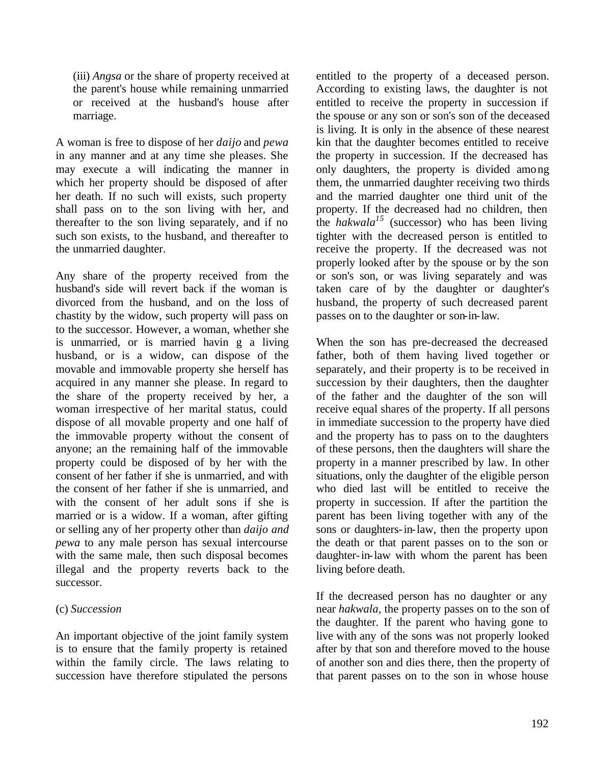(iii) *Angsa* or the share of property received at the parent's house while remaining unmarried or received at the husband's house after marriage.

A woman is free to dispose of her *daijo* and *pewa*  in any manner and at any time she pleases. She may execute a will indicating the manner in which her property should be disposed of after her death. If no such will exists, such property shall pass on to the son living with her, and thereafter to the son living separately, and if no such son exists, to the husband, and thereafter to the unmarried daughter.

Any share of the property received from the husband's side will revert back if the woman is divorced from the husband, and on the loss of chastity by the widow, such property will pass on to the successor. However, a woman, whether she is unmarried, or is married havin g a living husband, or is a widow, can dispose of the movable and immovable property she herself has acquired in any manner she please. In regard to the share of the property received by her, a woman irrespective of her marital status, could dispose of all movable property and one half of the immovable property without the consent of anyone; an the remaining half of the immovable property could be disposed of by her with the consent of her father if she is unmarried, and with the consent of her father if she is unmarried, and with the consent of her adult sons if she is married or is a widow. If a woman, after gifting or selling any of her property other than *daijo and pewa* to any male person has sexual intercourse with the same male, then such disposal becomes illegal and the property reverts back to the successor.

#### (c) *Succession*

An important objective of the joint family system is to ensure that the family property is retained within the family circle. The laws relating to succession have therefore stipulated the persons

entitled to the property of a deceased person. According to existing laws, the daughter is not entitled to receive the property in succession if the spouse or any son or son's son of the deceased is living. It is only in the absence of these nearest kin that the daughter becomes entitled to receive the property in succession. If the decreased has only daughters, the property is divided among them, the unmarried daughter receiving two thirds and the married daughter one third unit of the property. If the decreased had no children, then the *hakwala<sup>15</sup>* (successor) who has been living tighter with the decreased person is entitled to receive the property. If the decreased was not properly looked after by the spouse or by the son or son's son, or was living separately and was taken care of by the daughter or daughter's husband, the property of such decreased parent passes on to the daughter or son-in-law.

When the son has pre-decreased the decreased father, both of them having lived together or separately, and their property is to be received in succession by their daughters, then the daughter of the father and the daughter of the son will receive equal shares of the property. If all persons in immediate succession to the property have died and the property has to pass on to the daughters of these persons, then the daughters will share the property in a manner prescribed by law. In other situations, only the daughter of the eligible person who died last will be entitled to receive the property in succession. If after the partition the parent has been living together with any of the sons or daughters-in-law, then the property upon the death or that parent passes on to the son or daughter-in-law with whom the parent has been living before death.

If the decreased person has no daughter or any near *hakwala,* the property passes on to the son of the daughter. If the parent who having gone to live with any of the sons was not properly looked after by that son and therefore moved to the house of another son and dies there, then the property of that parent passes on to the son in whose house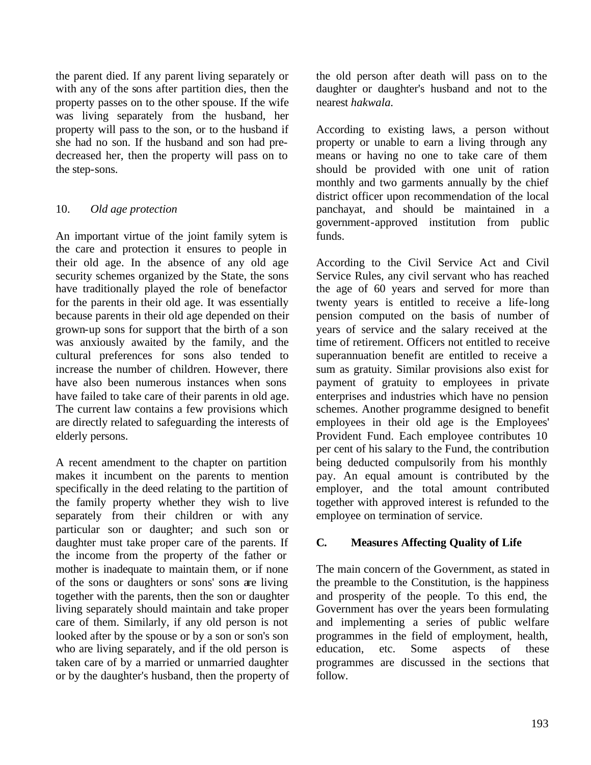the parent died. If any parent living separately or with any of the sons after partition dies, then the property passes on to the other spouse. If the wife was living separately from the husband, her property will pass to the son, or to the husband if she had no son. If the husband and son had predecreased her, then the property will pass on to the step-sons.

## 10. *Old age protection*

An important virtue of the joint family sytem is the care and protection it ensures to people in their old age. In the absence of any old age security schemes organized by the State, the sons have traditionally played the role of benefactor for the parents in their old age. It was essentially because parents in their old age depended on their grown-up sons for support that the birth of a son was anxiously awaited by the family, and the cultural preferences for sons also tended to increase the number of children. However, there have also been numerous instances when sons have failed to take care of their parents in old age. The current law contains a few provisions which are directly related to safeguarding the interests of elderly persons.

A recent amendment to the chapter on partition makes it incumbent on the parents to mention specifically in the deed relating to the partition of the family property whether they wish to live separately from their children or with any particular son or daughter; and such son or daughter must take proper care of the parents. If the income from the property of the father or mother is inadequate to maintain them, or if none of the sons or daughters or sons' sons are living together with the parents, then the son or daughter living separately should maintain and take proper care of them. Similarly, if any old person is not looked after by the spouse or by a son or son's son who are living separately, and if the old person is taken care of by a married or unmarried daughter or by the daughter's husband, then the property of the old person after death will pass on to the daughter or daughter's husband and not to the nearest *hakwala.*

According to existing laws, a person without property or unable to earn a living through any means or having no one to take care of them should be provided with one unit of ration monthly and two garments annually by the chief district officer upon recommendation of the local panchayat, and should be maintained in a government-approved institution from public funds.

According to the Civil Service Act and Civil Service Rules, any civil servant who has reached the age of 60 years and served for more than twenty years is entitled to receive a life-long pension computed on the basis of number of years of service and the salary received at the time of retirement. Officers not entitled to receive superannuation benefit are entitled to receive a sum as gratuity. Similar provisions also exist for payment of gratuity to employees in private enterprises and industries which have no pension schemes. Another programme designed to benefit employees in their old age is the Employees' Provident Fund. Each employee contributes 10 per cent of his salary to the Fund, the contribution being deducted compulsorily from his monthly pay. An equal amount is contributed by the employer, and the total amount contributed together with approved interest is refunded to the employee on termination of service.

## **C. Measures Affecting Quality of Life**

The main concern of the Government, as stated in the preamble to the Constitution, is the happiness and prosperity of the people. To this end, the Government has over the years been formulating and implementing a series of public welfare programmes in the field of employment, health, education, etc. Some aspects of these programmes are discussed in the sections that follow.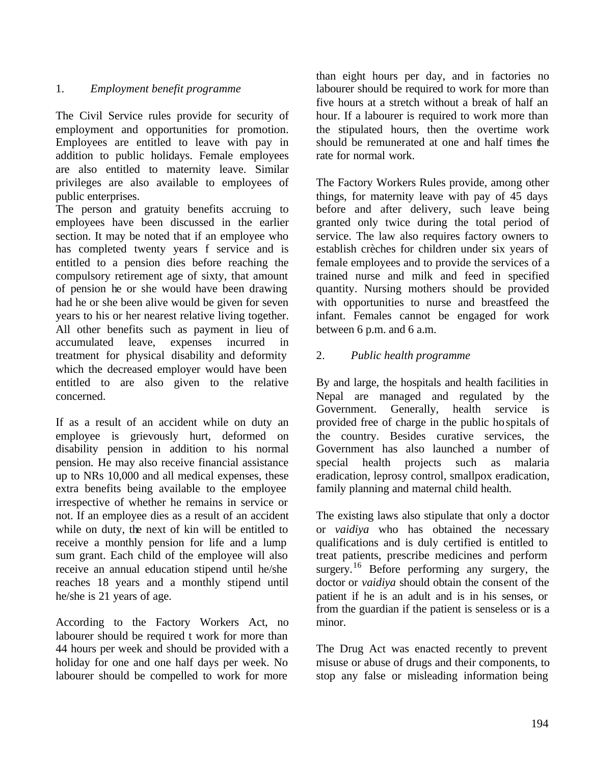## 1. *Employment benefit programme*

The Civil Service rules provide for security of employment and opportunities for promotion. Employees are entitled to leave with pay in addition to public holidays. Female employees are also entitled to maternity leave. Similar privileges are also available to employees of public enterprises.

The person and gratuity benefits accruing to employees have been discussed in the earlier section. It may be noted that if an employee who has completed twenty years f service and is entitled to a pension dies before reaching the compulsory retirement age of sixty, that amount of pension he or she would have been drawing had he or she been alive would be given for seven years to his or her nearest relative living together. All other benefits such as payment in lieu of accumulated leave, expenses incurred in treatment for physical disability and deformity which the decreased employer would have been entitled to are also given to the relative concerned.

If as a result of an accident while on duty an employee is grievously hurt, deformed on disability pension in addition to his normal pension. He may also receive financial assistance up to NRs 10,000 and all medical expenses, these extra benefits being available to the employee irrespective of whether he remains in service or not. If an employee dies as a result of an accident while on duty, the next of kin will be entitled to receive a monthly pension for life and a lump sum grant. Each child of the employee will also receive an annual education stipend until he/she reaches 18 years and a monthly stipend until he/she is 21 years of age.

According to the Factory Workers Act, no labourer should be required t work for more than 44 hours per week and should be provided with a holiday for one and one half days per week. No labourer should be compelled to work for more than eight hours per day, and in factories no labourer should be required to work for more than five hours at a stretch without a break of half an hour. If a labourer is required to work more than the stipulated hours, then the overtime work should be remunerated at one and half times the rate for normal work.

The Factory Workers Rules provide, among other things, for maternity leave with pay of 45 days before and after delivery, such leave being granted only twice during the total period of service. The law also requires factory owners to establish crèches for children under six years of female employees and to provide the services of a trained nurse and milk and feed in specified quantity. Nursing mothers should be provided with opportunities to nurse and breastfeed the infant. Females cannot be engaged for work between 6 p.m. and 6 a.m.

## 2. *Public health programme*

By and large, the hospitals and health facilities in Nepal are managed and regulated by the Government. Generally, health service is provided free of charge in the public hospitals of the country. Besides curative services, the Government has also launched a number of special health projects such as malaria eradication, leprosy control, smallpox eradication, family planning and maternal child health.

The existing laws also stipulate that only a doctor or *vaidiya* who has obtained the necessary qualifications and is duly certified is entitled to treat patients, prescribe medicines and perform surgery.<sup>16</sup> Before performing any surgery, the doctor or *vaidiya* should obtain the consent of the patient if he is an adult and is in his senses, or from the guardian if the patient is senseless or is a minor.

The Drug Act was enacted recently to prevent misuse or abuse of drugs and their components, to stop any false or misleading information being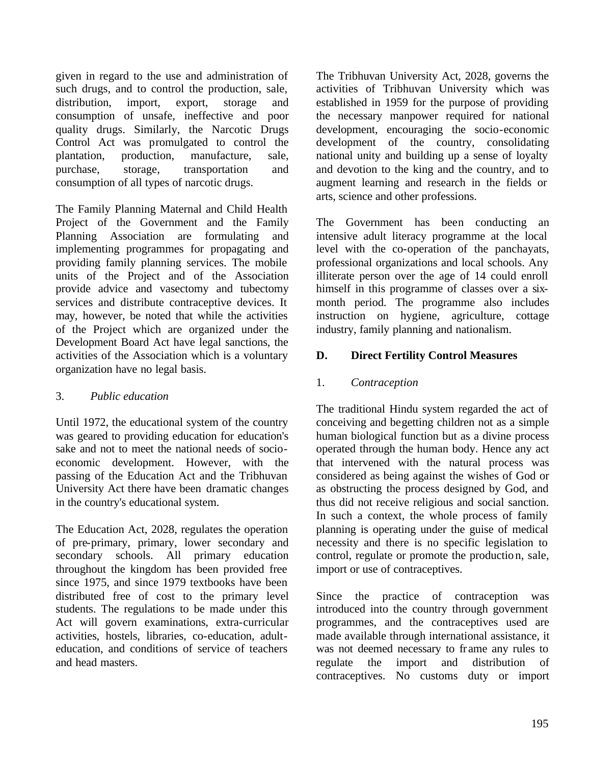given in regard to the use and administration of such drugs, and to control the production, sale, distribution, import, export, storage and consumption of unsafe, ineffective and poor quality drugs. Similarly, the Narcotic Drugs Control Act was promulgated to control the plantation, production, manufacture, sale, purchase, storage, transportation and consumption of all types of narcotic drugs.

The Family Planning Maternal and Child Health Project of the Government and the Family Planning Association are formulating and implementing programmes for propagating and providing family planning services. The mobile units of the Project and of the Association provide advice and vasectomy and tubectomy services and distribute contraceptive devices. It may, however, be noted that while the activities of the Project which are organized under the Development Board Act have legal sanctions, the activities of the Association which is a voluntary organization have no legal basis.

## 3. *Public education*

Until 1972, the educational system of the country was geared to providing education for education's sake and not to meet the national needs of socioeconomic development. However, with the passing of the Education Act and the Tribhuvan University Act there have been dramatic changes in the country's educational system.

The Education Act, 2028, regulates the operation of pre-primary, primary, lower secondary and secondary schools. All primary education throughout the kingdom has been provided free since 1975, and since 1979 textbooks have been distributed free of cost to the primary level students. The regulations to be made under this Act will govern examinations, extra-curricular activities, hostels, libraries, co-education, adulteducation, and conditions of service of teachers and head masters.

The Tribhuvan University Act, 2028, governs the activities of Tribhuvan University which was established in 1959 for the purpose of providing the necessary manpower required for national development, encouraging the socio-economic development of the country, consolidating national unity and building up a sense of loyalty and devotion to the king and the country, and to augment learning and research in the fields or arts, science and other professions.

The Government has been conducting an intensive adult literacy programme at the local level with the co-operation of the panchayats, professional organizations and local schools. Any illiterate person over the age of 14 could enroll himself in this programme of classes over a sixmonth period. The programme also includes instruction on hygiene, agriculture, cottage industry, family planning and nationalism.

## **D. Direct Fertility Control Measures**

## 1. *Contraception*

The traditional Hindu system regarded the act of conceiving and begetting children not as a simple human biological function but as a divine process operated through the human body. Hence any act that intervened with the natural process was considered as being against the wishes of God or as obstructing the process designed by God, and thus did not receive religious and social sanction. In such a context, the whole process of family planning is operating under the guise of medical necessity and there is no specific legislation to control, regulate or promote the production, sale, import or use of contraceptives.

Since the practice of contraception was introduced into the country through government programmes, and the contraceptives used are made available through international assistance, it was not deemed necessary to frame any rules to regulate the import and distribution of contraceptives. No customs duty or import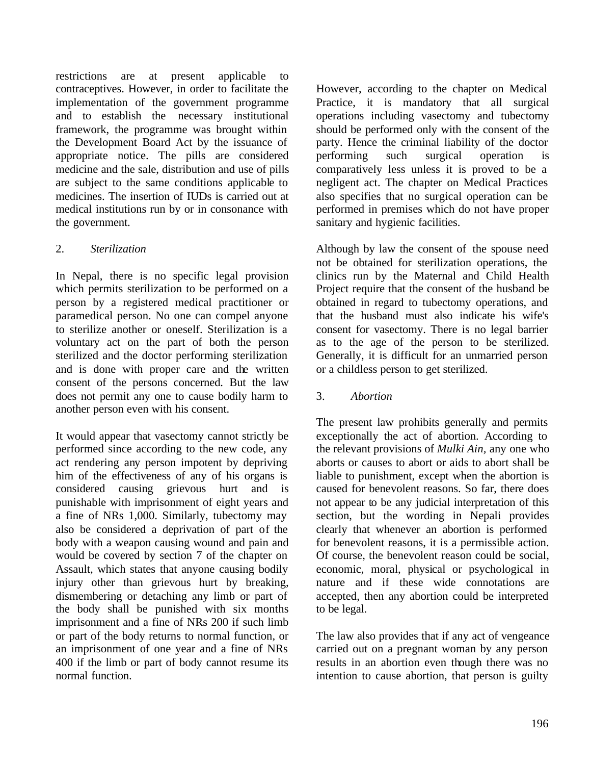restrictions are at present applicable to contraceptives. However, in order to facilitate the implementation of the government programme and to establish the necessary institutional framework, the programme was brought within the Development Board Act by the issuance of appropriate notice. The pills are considered medicine and the sale, distribution and use of pills are subject to the same conditions applicable to medicines. The insertion of IUDs is carried out at medical institutions run by or in consonance with the government.

## 2. *Sterilization*

In Nepal, there is no specific legal provision which permits sterilization to be performed on a person by a registered medical practitioner or paramedical person. No one can compel anyone to sterilize another or oneself. Sterilization is a voluntary act on the part of both the person sterilized and the doctor performing sterilization and is done with proper care and the written consent of the persons concerned. But the law does not permit any one to cause bodily harm to another person even with his consent.

It would appear that vasectomy cannot strictly be performed since according to the new code, any act rendering any person impotent by depriving him of the effectiveness of any of his organs is considered causing grievous hurt and is punishable with imprisonment of eight years and a fine of NRs 1,000. Similarly, tubectomy may also be considered a deprivation of part of the body with a weapon causing wound and pain and would be covered by section 7 of the chapter on Assault, which states that anyone causing bodily injury other than grievous hurt by breaking, dismembering or detaching any limb or part of the body shall be punished with six months imprisonment and a fine of NRs 200 if such limb or part of the body returns to normal function, or an imprisonment of one year and a fine of NRs 400 if the limb or part of body cannot resume its normal function.

However, according to the chapter on Medical Practice, it is mandatory that all surgical operations including vasectomy and tubectomy should be performed only with the consent of the party. Hence the criminal liability of the doctor performing such surgical operation comparatively less unless it is proved to be a negligent act. The chapter on Medical Practices also specifies that no surgical operation can be performed in premises which do not have proper sanitary and hygienic facilities.

Although by law the consent of the spouse need not be obtained for sterilization operations, the clinics run by the Maternal and Child Health Project require that the consent of the husband be obtained in regard to tubectomy operations, and that the husband must also indicate his wife's consent for vasectomy. There is no legal barrier as to the age of the person to be sterilized. Generally, it is difficult for an unmarried person or a childless person to get sterilized.

3. *Abortion*

The present law prohibits generally and permits exceptionally the act of abortion. According to the relevant provisions of *Mulki Ain,* any one who aborts or causes to abort or aids to abort shall be liable to punishment, except when the abortion is caused for benevolent reasons. So far, there does not appear to be any judicial interpretation of this section, but the wording in Nepali provides clearly that whenever an abortion is performed for benevolent reasons, it is a permissible action. Of course, the benevolent reason could be social, economic, moral, physical or psychological in nature and if these wide connotations are accepted, then any abortion could be interpreted to be legal.

The law also provides that if any act of vengeance carried out on a pregnant woman by any person results in an abortion even though there was no intention to cause abortion, that person is guilty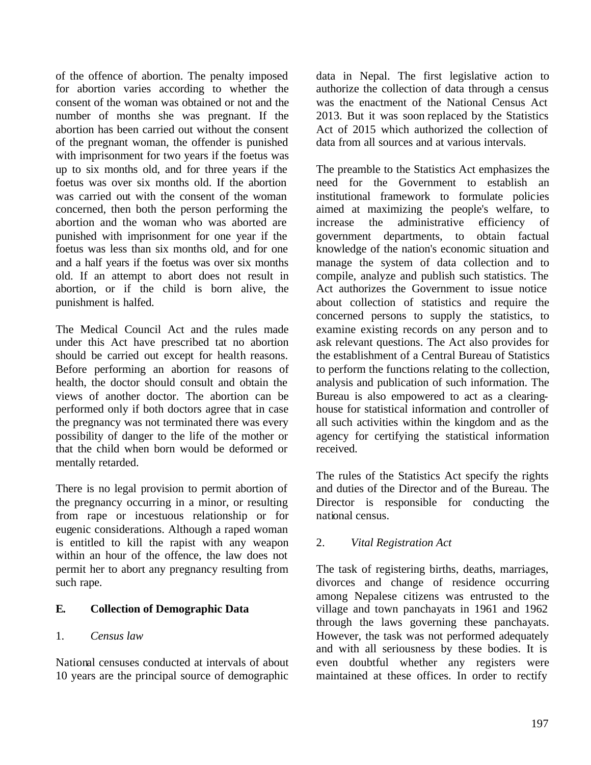of the offence of abortion. The penalty imposed for abortion varies according to whether the consent of the woman was obtained or not and the number of months she was pregnant. If the abortion has been carried out without the consent of the pregnant woman, the offender is punished with imprisonment for two years if the foetus was up to six months old, and for three years if the foetus was over six months old. If the abortion was carried out with the consent of the woman concerned, then both the person performing the abortion and the woman who was aborted are punished with imprisonment for one year if the foetus was less than six months old, and for one and a half years if the foetus was over six months old. If an attempt to abort does not result in abortion, or if the child is born alive, the punishment is halfed.

The Medical Council Act and the rules made under this Act have prescribed tat no abortion should be carried out except for health reasons. Before performing an abortion for reasons of health, the doctor should consult and obtain the views of another doctor. The abortion can be performed only if both doctors agree that in case the pregnancy was not terminated there was every possibility of danger to the life of the mother or that the child when born would be deformed or mentally retarded.

There is no legal provision to permit abortion of the pregnancy occurring in a minor, or resulting from rape or incestuous relationship or for eugenic considerations. Although a raped woman is entitled to kill the rapist with any weapon within an hour of the offence, the law does not permit her to abort any pregnancy resulting from such rape.

## **E. Collection of Demographic Data**

## 1. *Census law*

National censuses conducted at intervals of about 10 years are the principal source of demographic

data in Nepal. The first legislative action to authorize the collection of data through a census was the enactment of the National Census Act 2013. But it was soon replaced by the Statistics Act of 2015 which authorized the collection of data from all sources and at various intervals.

The preamble to the Statistics Act emphasizes the need for the Government to establish an institutional framework to formulate policies aimed at maximizing the people's welfare, to increase the administrative efficiency of government departments, to obtain factual knowledge of the nation's economic situation and manage the system of data collection and to compile, analyze and publish such statistics. The Act authorizes the Government to issue notice about collection of statistics and require the concerned persons to supply the statistics, to examine existing records on any person and to ask relevant questions. The Act also provides for the establishment of a Central Bureau of Statistics to perform the functions relating to the collection, analysis and publication of such information. The Bureau is also empowered to act as a clearinghouse for statistical information and controller of all such activities within the kingdom and as the agency for certifying the statistical information received.

The rules of the Statistics Act specify the rights and duties of the Director and of the Bureau. The Director is responsible for conducting the national census.

## 2. *Vital Registration Act*

The task of registering births, deaths, marriages, divorces and change of residence occurring among Nepalese citizens was entrusted to the village and town panchayats in 1961 and 1962 through the laws governing these panchayats. However, the task was not performed adequately and with all seriousness by these bodies. It is even doubtful whether any registers were maintained at these offices. In order to rectify